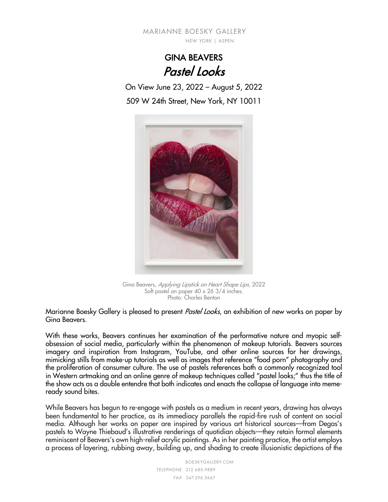MARIANNE BOESKY GALLERY NEW YORK | ASPEN

> GINA BEAVERS Pastel Looks

On View June 23, 2022 – August 5, 2022 509 W 24th Street, New York, NY 10011



Gina Beavers, Applying Lipstick on Heart Shape Lips, 2022 Soft pastel on paper 40 x 26 3/4 inches. Photo: Charles Benton

Marianne Boesky Gallery is pleased to present Pastel Looks, an exhibition of new works on paper by Gina Beavers.

With these works, Beavers continues her examination of the performative nature and myopic selfobsession of social media, particularly within the phenomenon of makeup tutorials. Beavers sources imagery and inspiration from Instagram, YouTube, and other online sources for her drawings, mimicking stills from make-up tutorials as well as images that reference "food porn" photography and the proliferation of consumer culture. The use of pastels references both a commonly recognized tool in Western artmaking and an online genre of makeup techniques called "pastel looks;" thus the title of the show acts as a double entendre that both indicates and enacts the collapse of language into memeready sound bites.

While Beavers has begun to re-engage with pastels as a medium in recent years, drawing has always been fundamental to her practice, as its immediacy parallels the rapid-fire rush of content on social media. Although her works on paper are inspired by various art historical sources––from Degas's pastels to Wayne Thiebaud's illustrative renderings of quotidian objects––they retain formal elements reminiscent of Beavers's own high-relief acrylic paintings. As in her painting practice, the artist employs a process of layering, rubbing away, building up, and shading to create illusionistic depictions of the

> BOESKYGALLERY.COM 212.680.9889 TELEPHONE 347.296.3667 FAX